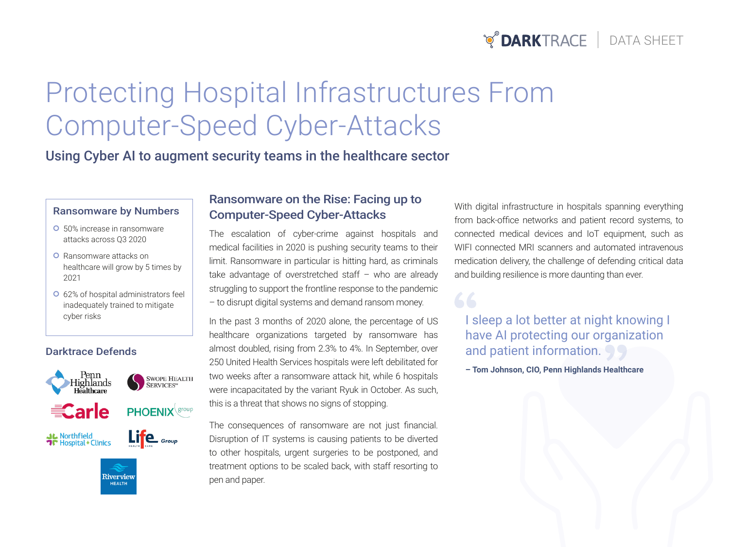# **POARKTRACE** | DATA SHEET

# Protecting Hospital Infrastructures From Computer-Speed Cyber-Attacks

## Using Cyber AI to augment security teams in the healthcare sector

#### **Ransomware by Numbers**

- **o** 50% increase in ransomware attacks across Q3 2020
- **O** Ransomware attacks on healthcare will grow by 5 times by 2021
- **o** 62% of hospital administrators feel inadequately trained to mitigate

#### Darktrace Defends



## Ransomware on the Rise: Facing up to **Computer-Speed Cyber-Attacks**

The escalation of cyber-crime against hospitals and medical facilities in 2020 is pushing security teams to their limit. Ransomware in particular is hitting hard, as criminals take advantage of overstretched staff  $-$  who are already struggling to support the frontline response to the pandemic - to disrupt digital systems and demand ransom money.

In the past 3 months of 2020 alone, the percentage of US healthcare organizations targeted by ransomware has almost doubled, rising from 2.3% to 4%. In September, over 250 United Health Services hospitals were left debilitated for two weeks after a ransomware attack hit, while 6 hospitals were incapacitated by the variant Ryuk in October. As such, this is a threat that shows no signs of stopping.

The consequences of ransomware are not just financial. Disruption of IT systems is causing patients to be diverted to other hospitals, urgent surgeries to be postponed, and treatment options to be scaled back, with staff resorting to pen and paper.

With digital infrastructure in hospitals spanning everything from back-office networks and patient record systems, to connected medical devices and IoT equipment, such as WIFI connected MRI scanners and automated intravenous medication delivery, the challenge of defending critical data and building resilience is more daunting than ever.

cyber risks **Example 2018** In the past 3 months of 2020 alone, the percentage of US **I sleep a lot better at night knowing I** have AI protecting our organization and patient information.

**- Tom Johnson, CIO, Penn Highlands Healthcare**